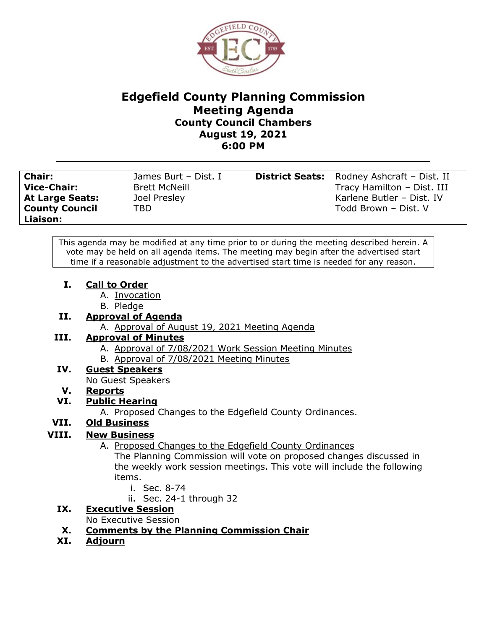

#### **Edgefield County Planning Commission Meeting Agenda County Council Chambers August 19, 2021 6:00 PM**

| <b>Chair:</b><br><b>Vice-Chair:</b><br><b>At Large Seats:</b><br><b>County Council</b><br>Liaison: | James Burt - Dist. I<br><b>Brett McNeill</b><br>Joel Presley<br>TBD |  | <b>District Seats:</b> Rodney Ashcraft - Dist. II<br>Tracy Hamilton - Dist. III<br>Karlene Butler - Dist. IV<br>Todd Brown - Dist. V |
|----------------------------------------------------------------------------------------------------|---------------------------------------------------------------------|--|--------------------------------------------------------------------------------------------------------------------------------------|
|----------------------------------------------------------------------------------------------------|---------------------------------------------------------------------|--|--------------------------------------------------------------------------------------------------------------------------------------|

This agenda may be modified at any time prior to or during the meeting described herein. A vote may be held on all agenda items. The meeting may begin after the advertised start time if a reasonable adjustment to the advertised start time is needed for any reason.

- **I. Call to Order**
	- A. Invocation
	- B. Pledge

### **II. Approval of Agenda**

A. Approval of August 19, 2021 Meeting Agenda

### **III. Approval of Minutes**

- A. Approval of 7/08/2021 Work Session Meeting Minutes
- B. Approval of 7/08/2021 Meeting Minutes

### **IV. Guest Speakers**

No Guest Speakers

### **V. Reports**

### **VI. Public Hearing**

A. Proposed Changes to the Edgefield County Ordinances.

# **VII. Old Business**

# **VIII. New Business**

A. Proposed Changes to the Edgefield County Ordinances

The Planning Commission will vote on proposed changes discussed in the weekly work session meetings. This vote will include the following items.

- i. Sec. 8-74
- ii. Sec. 24-1 through 32
- **IX. Executive Session**

No Executive Session

### **X. Comments by the Planning Commission Chair**

**XI. Adjourn**